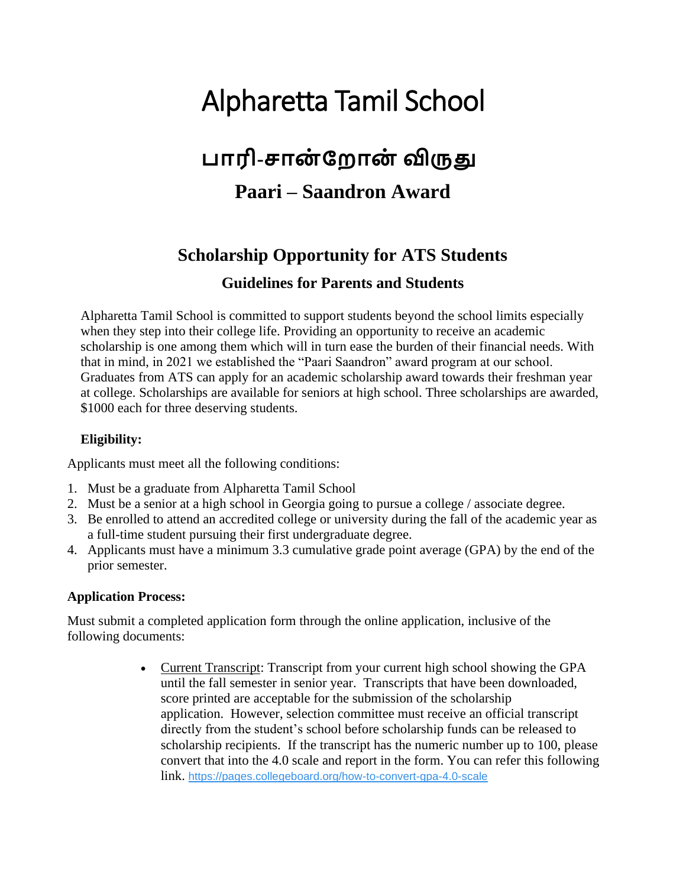# Alpharetta Tamil School

## **பாரி-சான் ற ான் விருது**

### **Paari – Saandron Award**

### **Scholarship Opportunity for ATS Students Guidelines for Parents and Students**

Alpharetta Tamil School is committed to support students beyond the school limits especially when they step into their college life. Providing an opportunity to receive an academic scholarship is one among them which will in turn ease the burden of their financial needs. With that in mind, in 2021 we established the "Paari Saandron" award program at our school. Graduates from ATS can apply for an academic scholarship award towards their freshman year at college. Scholarships are available for seniors at high school. Three scholarships are awarded, \$1000 each for three deserving students.

#### **Eligibility:**

Applicants must meet all the following conditions:

- 1. Must be a graduate from Alpharetta Tamil School
- 2. Must be a senior at a high school in Georgia going to pursue a college / associate degree.
- 3. Be enrolled to attend an accredited college or university during the fall of the academic year as a full-time student pursuing their first undergraduate degree.
- 4. Applicants must have a minimum 3.3 cumulative grade point average (GPA) by the end of the prior semester.

### **Application Process:**

Must submit a completed application form through the online application, inclusive of the following documents:

> • Current Transcript: Transcript from your current high school showing the GPA until the fall semester in senior year. Transcripts that have been downloaded, score printed are acceptable for the submission of the scholarship application. However, selection committee must receive an official transcript directly from the student's school before scholarship funds can be released to scholarship recipients. If the transcript has the numeric number up to 100, please convert that into the 4.0 scale and report in the form. You can refer this following link. [https://pages.collegeboard.org/how-to-convert-gpa-4.0-scale](about:blank)